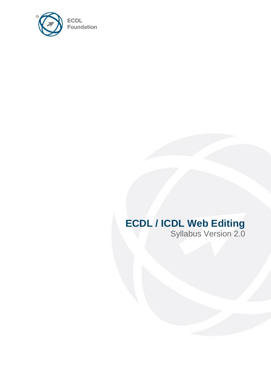

# **ECDL / ICDL Web Editing**

Syllabus Version 2.0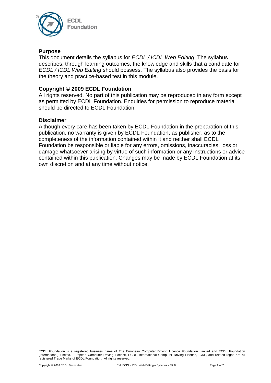

#### **Purpose**

This document details the syllabus for *ECDL / ICDL Web Editing*. The syllabus describes, through learning outcomes, the knowledge and skills that a candidate for *ECDL / ICDL Web Editing* should possess. The syllabus also provides the basis for the theory and practice-based test in this module.

#### **Copyright © 2009 ECDL Foundation**

All rights reserved. No part of this publication may be reproduced in any form except as permitted by ECDL Foundation. Enquiries for permission to reproduce material should be directed to ECDL Foundation.

#### **Disclaimer**

Although every care has been taken by ECDL Foundation in the preparation of this publication, no warranty is given by ECDL Foundation, as publisher, as to the completeness of the information contained within it and neither shall ECDL Foundation be responsible or liable for any errors, omissions, inaccuracies, loss or damage whatsoever arising by virtue of such information or any instructions or advice contained within this publication. Changes may be made by ECDL Foundation at its own discretion and at any time without notice.

ECDL Foundation is a registered business name of The European Computer Driving Licence Foundation Limited and ECDL Foundation (International) Limited. European Computer Driving Licence, ECDL, International Computer Driving Licence, ICDL, and related logos are all registered Trade Marks of ECDL Foundation. All rights reserved.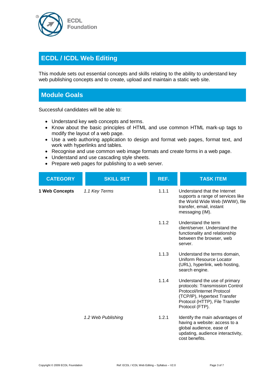

## **ECDL / ICDL Web Editing**

This module sets out essential concepts and skills relating to the ability to understand key web publishing concepts and to create, upload and maintain a static web site.

### **Module Goals**

Successful candidates will be able to:

- Understand key web concepts and terms.
- Know about the basic principles of HTML and use common HTML mark-up tags to modify the layout of a web page.
- Use a web authoring application to design and format web pages, format text, and work with hyperlinks and tables.
- Recognise and use common web image formats and create forms in a web page.
- Understand and use cascading style sheets.
- Prepare web pages for publishing to a web server.

| <b>CATEGORY</b> | <b>SKILL SET</b>   | REF.  | <b>TASK ITEM</b>                                                                                                                                                                    |
|-----------------|--------------------|-------|-------------------------------------------------------------------------------------------------------------------------------------------------------------------------------------|
| 1 Web Concepts  | 1.1 Key Terms      | 1.1.1 | Understand that the Internet<br>supports a range of services like<br>the World Wide Web (WWW), file<br>transfer, email, instant<br>messaging (IM).                                  |
|                 |                    | 1.1.2 | Understand the term<br>client/server. Understand the<br>functionality and relationship<br>between the browser, web<br>server.                                                       |
|                 |                    | 1.1.3 | Understand the terms domain,<br>Uniform Resource Locator<br>(URL), hyperlink, web hosting,<br>search engine.                                                                        |
|                 |                    | 1.1.4 | Understand the use of primary<br>protocols: Transmission Control<br>Protocol/Internet Protocol<br>(TCP/IP), Hypertext Transfer<br>Protocol (HTTP), File Transfer<br>Protocol (FTP). |
|                 | 1.2 Web Publishing | 1.2.1 | Identify the main advantages of<br>having a website: access to a<br>global audience, ease of<br>updating, audience interactivity,<br>cost benefits.                                 |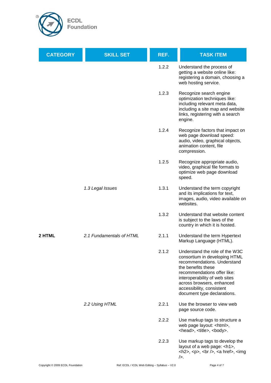

| <b>CATEGORY</b> | <b>SKILL SET</b>         | REF.  | <b>TASK ITEM</b>                                                                                                                                                                                                                                                              |
|-----------------|--------------------------|-------|-------------------------------------------------------------------------------------------------------------------------------------------------------------------------------------------------------------------------------------------------------------------------------|
|                 |                          | 1.2.2 | Understand the process of<br>getting a website online like:<br>registering a domain, choosing a<br>web hosting service.                                                                                                                                                       |
|                 |                          | 1.2.3 | Recognize search engine<br>optimization techniques like:<br>including relevant meta data,<br>including a site map and website<br>links, registering with a search<br>engine.                                                                                                  |
|                 |                          | 1.2.4 | Recognize factors that impact on<br>web page download speed:<br>audio, video, graphical objects,<br>animation content, file<br>compression.                                                                                                                                   |
|                 |                          | 1.2.5 | Recognize appropriate audio,<br>video, graphical file formats to<br>optimize web page download<br>speed.                                                                                                                                                                      |
|                 | 1.3 Legal Issues         | 1.3.1 | Understand the term copyright<br>and its implications for text,<br>images, audio, video available on<br>websites.                                                                                                                                                             |
|                 |                          | 1.3.2 | Understand that website content<br>is subject to the laws of the<br>country in which it is hosted.                                                                                                                                                                            |
| 2 HTML          | 2.1 Fundamentals of HTML | 2.1.1 | Understand the term Hypertext<br>Markup Language (HTML).                                                                                                                                                                                                                      |
|                 |                          | 2.1.2 | Understand the role of the W3C<br>consortium in developing HTML<br>recommendations. Understand<br>the benefits these<br>recommendations offer like:<br>interoperability of web sites<br>across browsers, enhanced<br>accessibility, consistent<br>document type declarations. |
|                 | 2.2 Using HTML           | 2.2.1 | Use the browser to view web<br>page source code.                                                                                                                                                                                                                              |
|                 |                          | 2.2.2 | Use markup tags to structure a<br>web page layout: <html>,<br/><head>, <title>, <body>.</body></title></head></html>                                                                                                                                                          |
|                 |                          | 2.2.3 | Use markup tags to develop the<br>layout of a web page: <h1>,<br/><math>\langle</math>h2&gt;, <math>\langle</math>p&gt;, <math>\langle</math>br <math>/</math>&gt;, <math>\langle</math>a href&gt;, <math>\langle</math>img<br/><math>\mathsf{L}</math></h1>                  |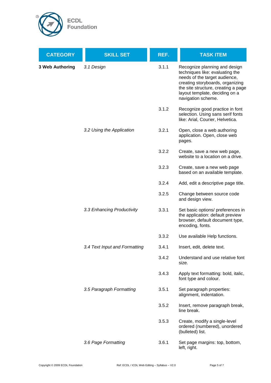

| <b>CATEGORY</b>        | <b>SKILL SET</b>              | REF.  | <b>TASK ITEM</b>                                                                                                                                                                                                                     |
|------------------------|-------------------------------|-------|--------------------------------------------------------------------------------------------------------------------------------------------------------------------------------------------------------------------------------------|
| <b>3 Web Authoring</b> | 3.1 Design                    | 3.1.1 | Recognize planning and design<br>techniques like: evaluating the<br>needs of the target audience,<br>creating storyboards, organizing<br>the site structure, creating a page<br>layout template, deciding on a<br>navigation scheme. |
|                        |                               | 3.1.2 | Recognize good practice in font<br>selection. Using sans serif fonts<br>like: Arial, Courier, Helvetica.                                                                                                                             |
|                        | 3.2 Using the Application     | 3.2.1 | Open, close a web authoring<br>application. Open, close web<br>pages.                                                                                                                                                                |
|                        |                               | 3.2.2 | Create, save a new web page,<br>website to a location on a drive.                                                                                                                                                                    |
|                        |                               | 3.2.3 | Create, save a new web page<br>based on an available template.                                                                                                                                                                       |
|                        |                               | 3.2.4 | Add, edit a descriptive page title.                                                                                                                                                                                                  |
|                        |                               | 3.2.5 | Change between source code<br>and design view.                                                                                                                                                                                       |
|                        | 3.3 Enhancing Productivity    | 3.3.1 | Set basic options/ preferences in<br>the application: default preview<br>browser, default document type,<br>encoding, fonts.                                                                                                         |
|                        |                               | 3.3.2 | Use available Help functions.                                                                                                                                                                                                        |
|                        | 3.4 Text Input and Formatting | 3.4.1 | Insert, edit, delete text.                                                                                                                                                                                                           |
|                        |                               | 3.4.2 | Understand and use relative font<br>size.                                                                                                                                                                                            |
|                        |                               | 3.4.3 | Apply text formatting: bold, italic,<br>font type and colour.                                                                                                                                                                        |
|                        | 3.5 Paragraph Formatting      | 3.5.1 | Set paragraph properties:<br>alignment, indentation.                                                                                                                                                                                 |
|                        |                               | 3.5.2 | Insert, remove paragraph break,<br>line break.                                                                                                                                                                                       |
|                        |                               | 3.5.3 | Create, modify a single-level<br>ordered (numbered), unordered<br>(bulleted) list.                                                                                                                                                   |
|                        | 3.6 Page Formatting           | 3.6.1 | Set page margins: top, bottom,<br>left, right.                                                                                                                                                                                       |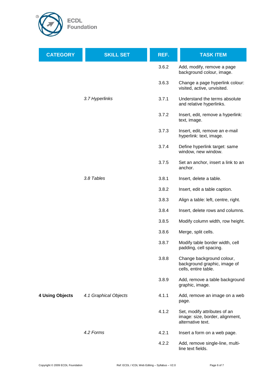

| <b>CATEGORY</b>        | <b>SKILL SET</b>      | REF.  | <b>TASK ITEM</b>                                                                     |
|------------------------|-----------------------|-------|--------------------------------------------------------------------------------------|
|                        |                       | 3.6.2 | Add, modify, remove a page<br>background colour, image.                              |
|                        |                       | 3.6.3 | Change a page hyperlink colour:<br>visited, active, unvisited.                       |
|                        | 3.7 Hyperlinks        | 3.7.1 | Understand the terms absolute<br>and relative hyperlinks.                            |
|                        |                       | 3.7.2 | Insert, edit, remove a hyperlink:<br>text, image.                                    |
|                        |                       | 3.7.3 | Insert, edit, remove an e-mail<br>hyperlink: text, image.                            |
|                        |                       | 3.7.4 | Define hyperlink target: same<br>window, new window.                                 |
|                        |                       | 3.7.5 | Set an anchor, insert a link to an<br>anchor.                                        |
|                        | 3.8 Tables            | 3.8.1 | Insert, delete a table.                                                              |
|                        |                       | 3.8.2 | Insert, edit a table caption.                                                        |
|                        |                       | 3.8.3 | Align a table: left, centre, right.                                                  |
|                        |                       | 3.8.4 | Insert, delete rows and columns.                                                     |
|                        |                       | 3.8.5 | Modify column width, row height.                                                     |
|                        |                       | 3.8.6 | Merge, split cells.                                                                  |
|                        |                       | 3.8.7 | Modify table border width, cell<br>padding, cell spacing.                            |
|                        |                       | 3.8.8 | Change background colour,<br>background graphic, image of<br>cells, entire table.    |
|                        |                       | 3.8.9 | Add, remove a table background<br>graphic, image.                                    |
| <b>4 Using Objects</b> | 4.1 Graphical Objects | 4.1.1 | Add, remove an image on a web<br>page.                                               |
|                        |                       | 4.1.2 | Set, modify attributes of an<br>image: size, border, alignment,<br>alternative text. |
|                        | 4.2 Forms             | 4.2.1 | Insert a form on a web page.                                                         |
|                        |                       | 4.2.2 | Add, remove single-line, multi-<br>line text fields.                                 |